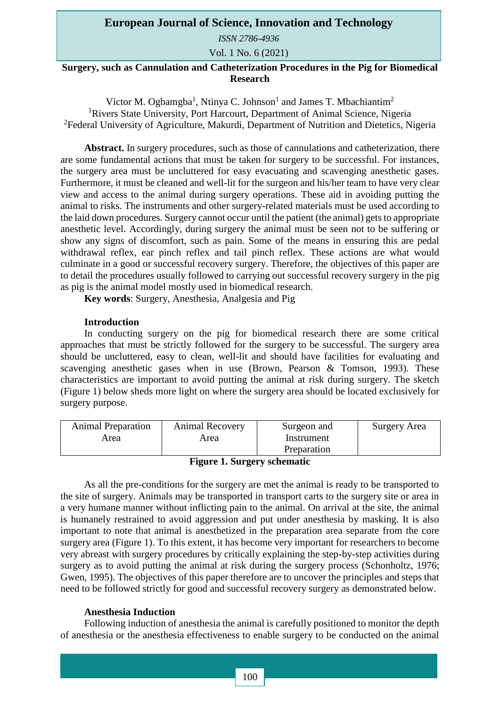## **European Journal of Science, Innovation and Technology**

*ISSN 2786-4936* 

Vol. 1 No. 6 (2021)

# **Surgery, such as Cannulation and Catheterization Procedures in the Pig for Biomedical Research**

Victor M. Ogbamgba<sup>1</sup>, Ntinya C. Johnson<sup>1</sup> and James T. Mbachiantim<sup>2</sup> <sup>1</sup>Rivers State University, Port Harcourt, Department of Animal Science, Nigeria <sup>2</sup>Federal University of Agriculture, Makurdi, Department of Nutrition and Dietetics, Nigeria

**Abstract.** In surgery procedures, such as those of cannulations and catheterization, there are some fundamental actions that must be taken for surgery to be successful. For instances, the surgery area must be uncluttered for easy evacuating and scavenging anesthetic gases. Furthermore, it must be cleaned and well-lit for the surgeon and his/her team to have very clear view and access to the animal during surgery operations. These aid in avoiding putting the animal to risks. The instruments and other surgery-related materials must be used according to the laid down procedures. Surgery cannot occur until the patient (the animal) gets to appropriate anesthetic level. Accordingly, during surgery the animal must be seen not to be suffering or show any signs of discomfort, such as pain. Some of the means in ensuring this are pedal withdrawal reflex, ear pinch reflex and tail pinch reflex. These actions are what would culminate in a good or successful recovery surgery. Therefore, the objectives of this paper are to detail the procedures usually followed to carrying out successful recovery surgery in the pig as pig is the animal model mostly used in biomedical research.

**Key words**: Surgery, Anesthesia, Analgesia and Pig

### **Introduction**

In conducting surgery on the pig for biomedical research there are some critical approaches that must be strictly followed for the surgery to be successful. The surgery area should be uncluttered, easy to clean, well-lit and should have facilities for evaluating and scavenging anesthetic gases when in use (Brown, Pearson & Tomson, 1993). These characteristics are important to avoid putting the animal at risk during surgery. The sketch (Figure 1) below sheds more light on where the surgery area should be located exclusively for surgery purpose.

| <b>Animal Preparation</b> | <b>Animal Recovery</b> | Surgeon and | Surgery Area |
|---------------------------|------------------------|-------------|--------------|
| Area                      | Area                   | Instrument  |              |
|                           |                        | Preparation |              |

**Figure 1. Surgery schematic**

As all the pre-conditions for the surgery are met the animal is ready to be transported to the site of surgery. Animals may be transported in transport carts to the surgery site or area in a very humane manner without inflicting pain to the animal. On arrival at the site, the animal is humanely restrained to avoid aggression and put under anesthesia by masking. It is also important to note that animal is anesthetized in the preparation area separate from the core surgery area (Figure 1). To this extent, it has become very important for researchers to become very abreast with surgery procedures by critically explaining the step-by-step activities during surgery as to avoid putting the animal at risk during the surgery process (Schonholtz, 1976; Gwen, 1995). The objectives of this paper therefore are to uncover the principles and steps that need to be followed strictly for good and successful recovery surgery as demonstrated below.

#### **Anesthesia Induction**

Following induction of anesthesia the animal is carefully positioned to monitor the depth of anesthesia or the anesthesia effectiveness to enable surgery to be conducted on the animal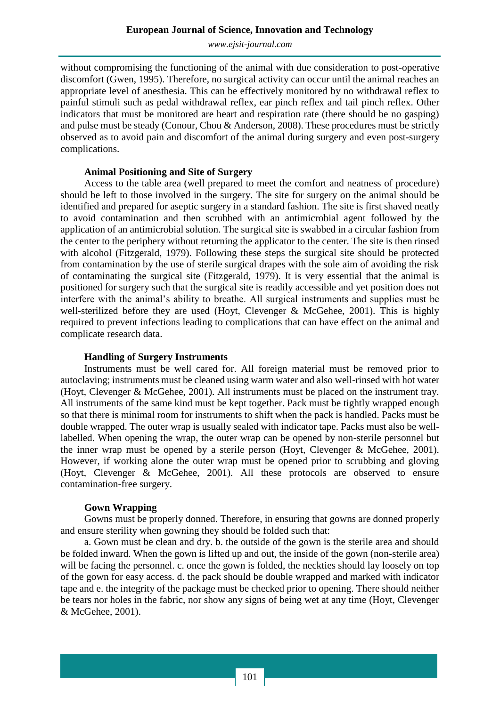*[www.ejsit-journal.com](http://www.ejsit-journal.com/)*

without compromising the functioning of the animal with due consideration to post-operative discomfort (Gwen, 1995). Therefore, no surgical activity can occur until the animal reaches an appropriate level of anesthesia. This can be effectively monitored by no withdrawal reflex to painful stimuli such as pedal withdrawal reflex, ear pinch reflex and tail pinch reflex. Other indicators that must be monitored are heart and respiration rate (there should be no gasping) and pulse must be steady (Conour, Chou & Anderson, 2008). These procedures must be strictly observed as to avoid pain and discomfort of the animal during surgery and even post-surgery complications.

### **Animal Positioning and Site of Surgery**

Access to the table area (well prepared to meet the comfort and neatness of procedure) should be left to those involved in the surgery. The site for surgery on the animal should be identified and prepared for aseptic surgery in a standard fashion. The site is first shaved neatly to avoid contamination and then scrubbed with an antimicrobial agent followed by the application of an antimicrobial solution. The surgical site is swabbed in a circular fashion from the center to the periphery without returning the applicator to the center. The site is then rinsed with alcohol (Fitzgerald, 1979). Following these steps the surgical site should be protected from contamination by the use of sterile surgical drapes with the sole aim of avoiding the risk of contaminating the surgical site (Fitzgerald, 1979). It is very essential that the animal is positioned for surgery such that the surgical site is readily accessible and yet position does not interfere with the animal's ability to breathe. All surgical instruments and supplies must be well-sterilized before they are used (Hoyt, Clevenger & McGehee, 2001). This is highly required to prevent infections leading to complications that can have effect on the animal and complicate research data.

### **Handling of Surgery Instruments**

Instruments must be well cared for. All foreign material must be removed prior to autoclaving; instruments must be cleaned using warm water and also well-rinsed with hot water (Hoyt, Clevenger & McGehee, 2001). All instruments must be placed on the instrument tray. All instruments of the same kind must be kept together. Pack must be tightly wrapped enough so that there is minimal room for instruments to shift when the pack is handled. Packs must be double wrapped. The outer wrap is usually sealed with indicator tape. Packs must also be welllabelled. When opening the wrap, the outer wrap can be opened by non-sterile personnel but the inner wrap must be opened by a sterile person (Hoyt, Clevenger & McGehee, 2001). However, if working alone the outer wrap must be opened prior to scrubbing and gloving (Hoyt, Clevenger & McGehee, 2001). All these protocols are observed to ensure contamination-free surgery.

## **Gown Wrapping**

Gowns must be properly donned. Therefore, in ensuring that gowns are donned properly and ensure sterility when gowning they should be folded such that:

a. Gown must be clean and dry. b. the outside of the gown is the sterile area and should be folded inward. When the gown is lifted up and out, the inside of the gown (non-sterile area) will be facing the personnel. c. once the gown is folded, the neckties should lay loosely on top of the gown for easy access. d. the pack should be double wrapped and marked with indicator tape and e. the integrity of the package must be checked prior to opening. There should neither be tears nor holes in the fabric, nor show any signs of being wet at any time (Hoyt, Clevenger & McGehee, 2001).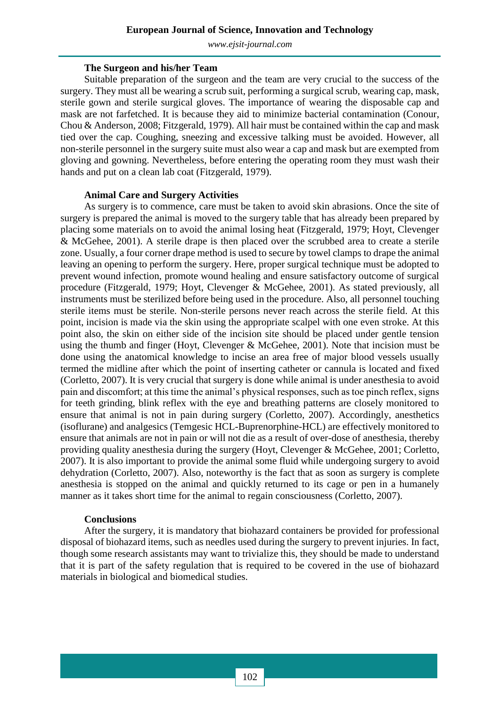*[www.ejsit-journal.com](http://www.ejsit-journal.com/)*

#### **The Surgeon and his/her Team**

Suitable preparation of the surgeon and the team are very crucial to the success of the surgery. They must all be wearing a scrub suit, performing a surgical scrub, wearing cap, mask, sterile gown and sterile surgical gloves. The importance of wearing the disposable cap and mask are not farfetched. It is because they aid to minimize bacterial contamination (Conour, Chou & Anderson, 2008; Fitzgerald, 1979). All hair must be contained within the cap and mask tied over the cap. Coughing, sneezing and excessive talking must be avoided. However, all non-sterile personnel in the surgery suite must also wear a cap and mask but are exempted from gloving and gowning. Nevertheless, before entering the operating room they must wash their hands and put on a clean lab coat (Fitzgerald, 1979).

### **Animal Care and Surgery Activities**

As surgery is to commence, care must be taken to avoid skin abrasions. Once the site of surgery is prepared the animal is moved to the surgery table that has already been prepared by placing some materials on to avoid the animal losing heat (Fitzgerald, 1979; Hoyt, Clevenger & McGehee, 2001). A sterile drape is then placed over the scrubbed area to create a sterile zone. Usually, a four corner drape method is used to secure by towel clamps to drape the animal leaving an opening to perform the surgery. Here, proper surgical technique must be adopted to prevent wound infection, promote wound healing and ensure satisfactory outcome of surgical procedure (Fitzgerald, 1979; Hoyt, Clevenger & McGehee, 2001). As stated previously, all instruments must be sterilized before being used in the procedure. Also, all personnel touching sterile items must be sterile. Non-sterile persons never reach across the sterile field. At this point, incision is made via the skin using the appropriate scalpel with one even stroke. At this point also, the skin on either side of the incision site should be placed under gentle tension using the thumb and finger (Hoyt, Clevenger & McGehee, 2001). Note that incision must be done using the anatomical knowledge to incise an area free of major blood vessels usually termed the midline after which the point of inserting catheter or cannula is located and fixed (Corletto, 2007). It is very crucial that surgery is done while animal is under anesthesia to avoid pain and discomfort; at this time the animal's physical responses, such as toe pinch reflex, signs for teeth grinding, blink reflex with the eye and breathing patterns are closely monitored to ensure that animal is not in pain during surgery (Corletto, 2007). Accordingly, anesthetics (isoflurane) and analgesics (Temgesic HCL-Buprenorphine-HCL) are effectively monitored to ensure that animals are not in pain or will not die as a result of over-dose of anesthesia, thereby providing quality anesthesia during the surgery (Hoyt, Clevenger & McGehee, 2001; Corletto, 2007). It is also important to provide the animal some fluid while undergoing surgery to avoid dehydration (Corletto, 2007). Also, noteworthy is the fact that as soon as surgery is complete anesthesia is stopped on the animal and quickly returned to its cage or pen in a humanely manner as it takes short time for the animal to regain consciousness (Corletto, 2007).

### **Conclusions**

After the surgery, it is mandatory that biohazard containers be provided for professional disposal of biohazard items, such as needles used during the surgery to prevent injuries. In fact, though some research assistants may want to trivialize this, they should be made to understand that it is part of the safety regulation that is required to be covered in the use of biohazard materials in biological and biomedical studies.